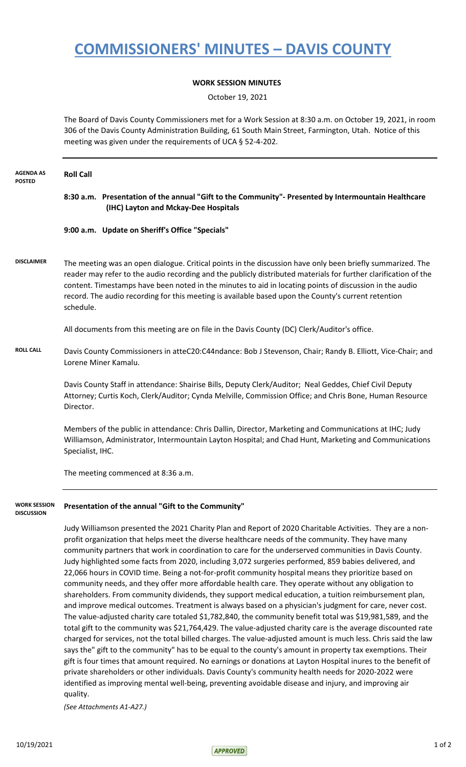## **COMMISSIONERS' MINUTES – DAVIS COUNTY**

## **WORK SESSION MINUTES**

October 19, 2021

The Board of Davis County Commissioners met for a Work Session at 8:30 a.m. on October 19, 2021, in room 306 of the Davis County Administration Building, 61 South Main Street, Farmington, Utah. Notice of this meeting was given under the requirements of UCA § 52-4-202.

| <b>AGENDA AS</b><br><b>POSTED</b>        | <b>Roll Call</b>                                                                                                                                                                                                                                                                                                                                                                                                                                                                                                                                                                                                                                                                                                                                                                                                                                                                                                                                                                                                                                                                                                                                                                                                                                                                                                                                                                                                                                                                                                                                                                                                                                                  |
|------------------------------------------|-------------------------------------------------------------------------------------------------------------------------------------------------------------------------------------------------------------------------------------------------------------------------------------------------------------------------------------------------------------------------------------------------------------------------------------------------------------------------------------------------------------------------------------------------------------------------------------------------------------------------------------------------------------------------------------------------------------------------------------------------------------------------------------------------------------------------------------------------------------------------------------------------------------------------------------------------------------------------------------------------------------------------------------------------------------------------------------------------------------------------------------------------------------------------------------------------------------------------------------------------------------------------------------------------------------------------------------------------------------------------------------------------------------------------------------------------------------------------------------------------------------------------------------------------------------------------------------------------------------------------------------------------------------------|
|                                          | 8:30 a.m. Presentation of the annual "Gift to the Community"- Presented by Intermountain Healthcare<br>(IHC) Layton and Mckay-Dee Hospitals                                                                                                                                                                                                                                                                                                                                                                                                                                                                                                                                                                                                                                                                                                                                                                                                                                                                                                                                                                                                                                                                                                                                                                                                                                                                                                                                                                                                                                                                                                                       |
|                                          | 9:00 a.m. Update on Sheriff's Office "Specials"                                                                                                                                                                                                                                                                                                                                                                                                                                                                                                                                                                                                                                                                                                                                                                                                                                                                                                                                                                                                                                                                                                                                                                                                                                                                                                                                                                                                                                                                                                                                                                                                                   |
| <b>DISCLAIMER</b>                        | The meeting was an open dialogue. Critical points in the discussion have only been briefly summarized. The<br>reader may refer to the audio recording and the publicly distributed materials for further clarification of the<br>content. Timestamps have been noted in the minutes to aid in locating points of discussion in the audio<br>record. The audio recording for this meeting is available based upon the County's current retention<br>schedule.                                                                                                                                                                                                                                                                                                                                                                                                                                                                                                                                                                                                                                                                                                                                                                                                                                                                                                                                                                                                                                                                                                                                                                                                      |
|                                          | All documents from this meeting are on file in the Davis County (DC) Clerk/Auditor's office.                                                                                                                                                                                                                                                                                                                                                                                                                                                                                                                                                                                                                                                                                                                                                                                                                                                                                                                                                                                                                                                                                                                                                                                                                                                                                                                                                                                                                                                                                                                                                                      |
| <b>ROLL CALL</b>                         | Davis County Commissioners in atteC20:C44ndance: Bob J Stevenson, Chair; Randy B. Elliott, Vice-Chair; and<br>Lorene Miner Kamalu.                                                                                                                                                                                                                                                                                                                                                                                                                                                                                                                                                                                                                                                                                                                                                                                                                                                                                                                                                                                                                                                                                                                                                                                                                                                                                                                                                                                                                                                                                                                                |
|                                          | Davis County Staff in attendance: Shairise Bills, Deputy Clerk/Auditor; Neal Geddes, Chief Civil Deputy<br>Attorney; Curtis Koch, Clerk/Auditor; Cynda Melville, Commission Office; and Chris Bone, Human Resource<br>Director.                                                                                                                                                                                                                                                                                                                                                                                                                                                                                                                                                                                                                                                                                                                                                                                                                                                                                                                                                                                                                                                                                                                                                                                                                                                                                                                                                                                                                                   |
|                                          | Members of the public in attendance: Chris Dallin, Director, Marketing and Communications at IHC; Judy<br>Williamson, Administrator, Intermountain Layton Hospital; and Chad Hunt, Marketing and Communications<br>Specialist, IHC.                                                                                                                                                                                                                                                                                                                                                                                                                                                                                                                                                                                                                                                                                                                                                                                                                                                                                                                                                                                                                                                                                                                                                                                                                                                                                                                                                                                                                               |
|                                          | The meeting commenced at 8:36 a.m.                                                                                                                                                                                                                                                                                                                                                                                                                                                                                                                                                                                                                                                                                                                                                                                                                                                                                                                                                                                                                                                                                                                                                                                                                                                                                                                                                                                                                                                                                                                                                                                                                                |
| <b>WORK SESSION</b><br><b>DISCUSSION</b> | Presentation of the annual "Gift to the Community"                                                                                                                                                                                                                                                                                                                                                                                                                                                                                                                                                                                                                                                                                                                                                                                                                                                                                                                                                                                                                                                                                                                                                                                                                                                                                                                                                                                                                                                                                                                                                                                                                |
|                                          | Judy Williamson presented the 2021 Charity Plan and Report of 2020 Charitable Activities. They are a non-<br>profit organization that helps meet the diverse healthcare needs of the community. They have many<br>community partners that work in coordination to care for the underserved communities in Davis County.<br>Judy highlighted some facts from 2020, including 3,072 surgeries performed, 859 babies delivered, and<br>22,066 hours in COVID time. Being a not-for-profit community hospital means they prioritize based on<br>community needs, and they offer more affordable health care. They operate without any obligation to<br>shareholders. From community dividends, they support medical education, a tuition reimbursement plan,<br>and improve medical outcomes. Treatment is always based on a physician's judgment for care, never cost.<br>The value-adjusted charity care totaled \$1,782,840, the community benefit total was \$19,981,589, and the<br>total gift to the community was \$21,764,429. The value-adjusted charity care is the average discounted rate<br>charged for services, not the total billed charges. The value-adjusted amount is much less. Chris said the law<br>says the" gift to the community" has to be equal to the county's amount in property tax exemptions. Their<br>gift is four times that amount required. No earnings or donations at Layton Hospital inures to the benefit of<br>private shareholders or other individuals. Davis County's community health needs for 2020-2022 were<br>identified as improving mental well-being, preventing avoidable disease and injury, and improving air |

quality.

*(See Attachments A1-A27.)*